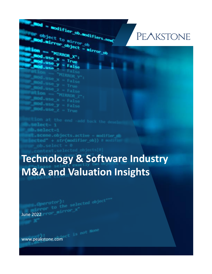## **PEAKSTONE**

 $\frac{1}{100}$   $\frac{1}{100}$   $\frac{1}{100}$ d.usa *LRROL* "MIRROR

lect= 1 elect=1 **Scene.objects.active = modifier** 

**Modifier\_ob.Modifiers.net**<br>Dject\_to\_mirror

M.mirror\_object = mirror\_ob

object to mirror ob

**MIRROR** 

 $-$ use  $x =$ 

# **Technology & Software Industry M&A and Valuation Insights**

www.peakstone.com

June 2022 **Contract of De**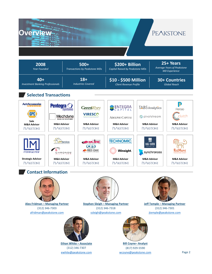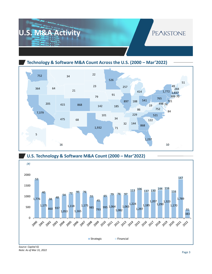

**Technology & Software M&A Count Across the U.S. (2000 – Mar'2022)**





*Note: As of Mar 31, 2022*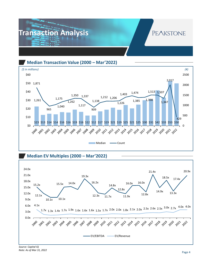

**Median Transaction Value (2000 – Mar'2022)**



**Median EV Multiples (2000 – Mar'2022)** 

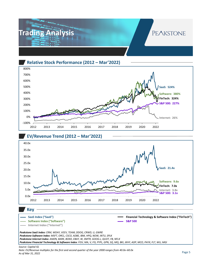

### **Relative Stock Performance (2012 – Mar'2022)**



#### **EV/Revenue Trend (2012 – Mar'2022)**



#### **SaaS Index ("SaaS")**

**Software Index ("Software")**

**Internet Index ("Internet")**

**Financial Technology & Software Index ("FinTech") S&P 500**

*Peakstone SaaS Index: CRM, WDAY, VEEV, TEAM, DDOG, CRWD, U, GWRE Peakstone Software Index: MSFT, ORCL, CSCO, ADBE, IBM, HPQ, NOW, INTU, SPLK Peakstone Internet Index: AMZN, BARK, BOXD, EBAY, W, XMTR, GOOG.L, QUOT, FB, NFLX Peakstone Financial Technology & Software Index: FISV, MA, V, FIS, PYPL, GPN, SQ, MQ, BKI, JKHY, ADP, MCO, PAYX, FLT, WU, MGI*

#### *Source: Capital IQ*

*Note: EV/Revenue multiples for the first and second quarter of the year 2000 ranges from 40.0x–60.0x As of Mar 31, 2022*